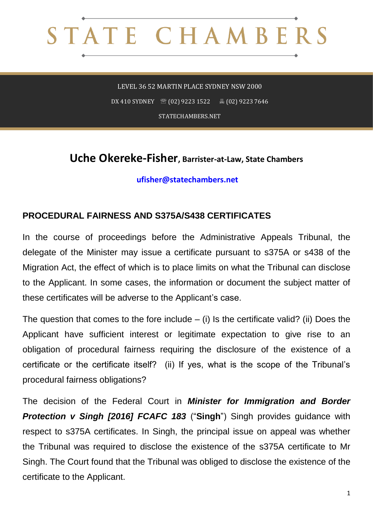## STATE CHAMBERS

LEVEL 36 52 MARTIN PLACE SYDNEY NSW 2000 DX 410 SYDNEY  $\circ$  (02) 9223 1522  $\circ$  8 (02) 9223 7646 STATECHAMBERS.NET

## **Uche Okereke-Fisher, Barrister-at-Law, State Chambers**

## **[ufisher@statechambers.net](mailto:ufisher@statechambers.net)**

## **PROCEDURAL FAIRNESS AND S375A/S438 CERTIFICATES**

In the course of proceedings before the Administrative Appeals Tribunal, the delegate of the Minister may issue a certificate pursuant to s375A or s438 of the Migration Act, the effect of which is to place limits on what the Tribunal can disclose to the Applicant. In some cases, the information or document the subject matter of these certificates will be adverse to the Applicant's case.

The question that comes to the fore include – (i) Is the certificate valid? (ii) Does the Applicant have sufficient interest or legitimate expectation to give rise to an obligation of procedural fairness requiring the disclosure of the existence of a certificate or the certificate itself? (ii) If yes, what is the scope of the Tribunal's procedural fairness obligations?

The decision of the Federal Court in *Minister for Immigration and Border Protection v Singh [2016] FCAFC 183* ("**Singh**") Singh provides guidance with respect to s375A certificates. In Singh, the principal issue on appeal was whether the Tribunal was required to disclose the existence of the s375A certificate to Mr Singh. The Court found that the Tribunal was obliged to disclose the existence of the certificate to the Applicant.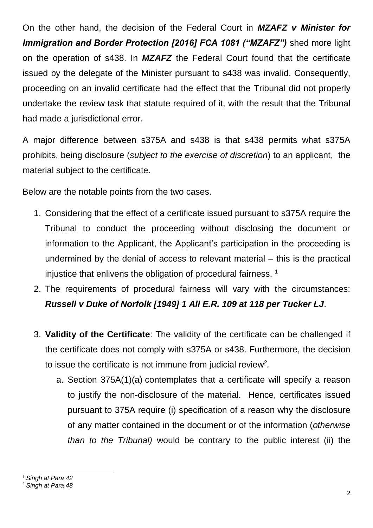On the other hand, the decision of the Federal Court in *MZAFZ v Minister for Immigration and Border Protection [2016] FCA 1081 ("MZAFZ")* shed more light on the operation of s438. In *MZAFZ* the Federal Court found that the certificate issued by the delegate of the Minister pursuant to s438 was invalid. Consequently, proceeding on an invalid certificate had the effect that the Tribunal did not properly undertake the review task that statute required of it, with the result that the Tribunal had made a jurisdictional error.

A major difference between s375A and s438 is that s438 permits what s375A prohibits, being disclosure (*subject to the exercise of discretion*) to an applicant, the material subject to the certificate.

Below are the notable points from the two cases.

- 1. Considering that the effect of a certificate issued pursuant to s375A require the Tribunal to conduct the proceeding without disclosing the document or information to the Applicant, the Applicant's participation in the proceeding is undermined by the denial of access to relevant material – this is the practical injustice that enlivens the obligation of procedural fairness.<sup>1</sup>
- 2. The requirements of procedural fairness will vary with the circumstances: *Russell v Duke of Norfolk [1949] 1 All E.R. 109 at 118 per Tucker LJ*.
- 3. **Validity of the Certificate**: The validity of the certificate can be challenged if the certificate does not comply with s375A or s438. Furthermore, the decision to issue the certificate is not immune from judicial review<sup>2</sup>.
	- a. Section 375A(1)(a) contemplates that a certificate will specify a reason to justify the non-disclosure of the material. Hence, certificates issued pursuant to 375A require (i) specification of a reason why the disclosure of any matter contained in the document or of the information (*otherwise than to the Tribunal)* would be contrary to the public interest (ii) the

<sup>1</sup> *Singh at Para 42*

**.** 

<sup>2</sup> *Singh at Para 48*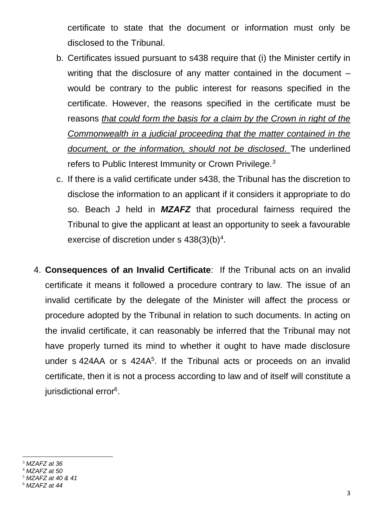certificate to state that the document or information must only be disclosed to the Tribunal.

- b. Certificates issued pursuant to s438 require that (i) the Minister certify in writing that the disclosure of any matter contained in the document – would be contrary to the public interest for reasons specified in the certificate. However, the reasons specified in the certificate must be reasons *that could form the basis for a claim by the Crown in right of the Commonwealth in a judicial proceeding that the matter contained in the document, or the information, should not be disclosed.* The underlined refers to Public Interest Immunity or Crown Privilege*. 3*
- c. If there is a valid certificate under s438, the Tribunal has the discretion to disclose the information to an applicant if it considers it appropriate to do so. Beach J held in *MZAFZ* that procedural fairness required the Tribunal to give the applicant at least an opportunity to seek a favourable exercise of discretion under s  $438(3)(b)^4$ .
- 4. **Consequences of an Invalid Certificate**: If the Tribunal acts on an invalid certificate it means it followed a procedure contrary to law. The issue of an invalid certificate by the delegate of the Minister will affect the process or procedure adopted by the Tribunal in relation to such documents. In acting on the invalid certificate, it can reasonably be inferred that the Tribunal may not have properly turned its mind to whether it ought to have made disclosure under s 424AA or s 424A<sup>5</sup>. If the Tribunal acts or proceeds on an invalid certificate, then it is not a process according to law and of itself will constitute a jurisdictional error<sup>6</sup>.

<sup>3</sup> *MZAFZ at 36*

1

- <sup>4</sup> *MZAFZ at 50*
- <sup>5</sup> *MZAFZ at 40 & 41*

<sup>6</sup> *MZAFZ at 44*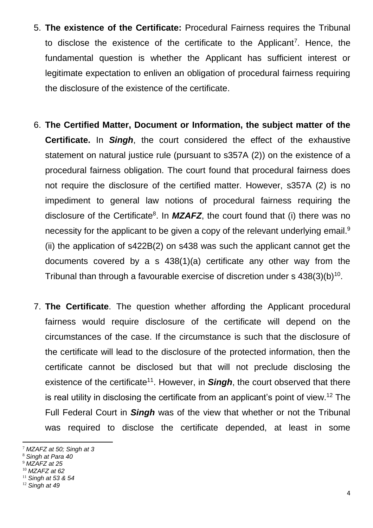- 5. **The existence of the Certificate:** Procedural Fairness requires the Tribunal to disclose the existence of the certificate to the Applicant<sup>7</sup>. Hence, the fundamental question is whether the Applicant has sufficient interest or legitimate expectation to enliven an obligation of procedural fairness requiring the disclosure of the existence of the certificate.
- 6. **The Certified Matter, Document or Information, the subject matter of the Certificate.** In *Singh*, the court considered the effect of the exhaustive statement on natural justice rule (pursuant to s357A (2)) on the existence of a procedural fairness obligation. The court found that procedural fairness does not require the disclosure of the certified matter. However, s357A (2) is no impediment to general law notions of procedural fairness requiring the disclosure of the Certificate<sup>8</sup>. In **MZAFZ**, the court found that (i) there was no necessity for the applicant to be given a copy of the relevant underlying email.<sup>9</sup> (ii) the application of s422B(2) on s438 was such the applicant cannot get the documents covered by a s 438(1)(a) certificate any other way from the Tribunal than through a favourable exercise of discretion under s  $438(3)(b)^{10}$ .
- 7. **The Certificate**. The question whether affording the Applicant procedural fairness would require disclosure of the certificate will depend on the circumstances of the case. If the circumstance is such that the disclosure of the certificate will lead to the disclosure of the protected information, then the certificate cannot be disclosed but that will not preclude disclosing the existence of the certificate<sup>11</sup>. However, in **Singh**, the court observed that there is real utility in disclosing the certificate from an applicant's point of view.<sup>12</sup> The Full Federal Court in *Singh* was of the view that whether or not the Tribunal was required to disclose the certificate depended, at least in some

**.** 

<sup>7</sup> *MZAFZ at 50; Singh at 3*

<sup>8</sup> *Singh at Para 40*

<sup>9</sup> *MZAFZ at 25*

<sup>10</sup> *MZAFZ at 62*

<sup>11</sup> *Singh at 53 & 54*

<sup>12</sup> *Singh at 49*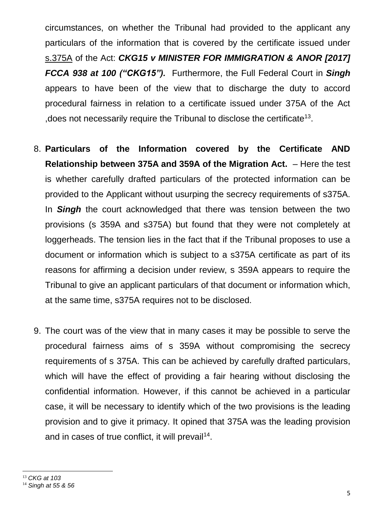circumstances, on whether the Tribunal had provided to the applicant any particulars of the information that is covered by the certificate issued under [s.375A](http://www.austlii.edu.au/cgi-bin/viewdoc/au/legis/cth/consol_act/ma1958118/s375a.html) of the Act: *CKG15 v MINISTER FOR IMMIGRATION & ANOR [2017] FCCA 938 at 100 ("CKG15").* Furthermore, the Full Federal Court in *Singh* appears to have been of the view that to discharge the duty to accord procedural fairness in relation to a certificate issued under 375A of the Act , does not necessarily require the Tribunal to disclose the certificate<sup>13</sup>.

- 8. **Particulars of the Information covered by the Certificate AND Relationship between 375A and 359A of the Migration Act.** – Here the test is whether carefully drafted particulars of the protected information can be provided to the Applicant without usurping the secrecy requirements of s375A. In *Singh* the court acknowledged that there was tension between the two provisions (s 359A and s375A) but found that they were not completely at loggerheads. The tension lies in the fact that if the Tribunal proposes to use a document or information which is subject to a s375A certificate as part of its reasons for affirming a decision under review, s 359A appears to require the Tribunal to give an applicant particulars of that document or information which, at the same time, s375A requires not to be disclosed.
- 9. The court was of the view that in many cases it may be possible to serve the procedural fairness aims of s 359A without compromising the secrecy requirements of s 375A. This can be achieved by carefully drafted particulars, which will have the effect of providing a fair hearing without disclosing the confidential information. However, if this cannot be achieved in a particular case, it will be necessary to identify which of the two provisions is the leading provision and to give it primacy. It opined that 375A was the leading provision and in cases of true conflict, it will prevail<sup>14</sup>.

**.** 

<sup>13</sup> *CKG at 103*

<sup>14</sup> *Singh at 55 & 56*